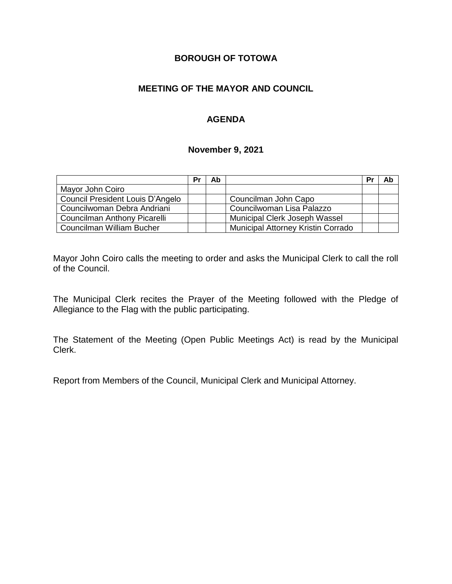# **BOROUGH OF TOTOWA**

## **MEETING OF THE MAYOR AND COUNCIL**

## **AGENDA**

#### **November 9, 2021**

|                                  | Pr | Ab |                                    | Pr | Ab |
|----------------------------------|----|----|------------------------------------|----|----|
| Mayor John Coiro                 |    |    |                                    |    |    |
| Council President Louis D'Angelo |    |    | Councilman John Capo               |    |    |
| Councilwoman Debra Andriani      |    |    | Councilwoman Lisa Palazzo          |    |    |
| Councilman Anthony Picarelli     |    |    | Municipal Clerk Joseph Wassel      |    |    |
| Councilman William Bucher        |    |    | Municipal Attorney Kristin Corrado |    |    |

Mayor John Coiro calls the meeting to order and asks the Municipal Clerk to call the roll of the Council.

The Municipal Clerk recites the Prayer of the Meeting followed with the Pledge of Allegiance to the Flag with the public participating.

The Statement of the Meeting (Open Public Meetings Act) is read by the Municipal Clerk.

Report from Members of the Council, Municipal Clerk and Municipal Attorney.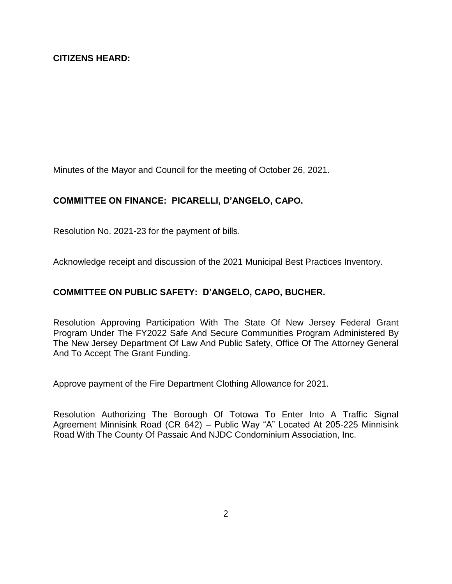Minutes of the Mayor and Council for the meeting of October 26, 2021.

# **COMMITTEE ON FINANCE: PICARELLI, D'ANGELO, CAPO.**

Resolution No. 2021-23 for the payment of bills.

Acknowledge receipt and discussion of the 2021 Municipal Best Practices Inventory.

## **COMMITTEE ON PUBLIC SAFETY: D'ANGELO, CAPO, BUCHER.**

Resolution Approving Participation With The State Of New Jersey Federal Grant Program Under The FY2022 Safe And Secure Communities Program Administered By The New Jersey Department Of Law And Public Safety, Office Of The Attorney General And To Accept The Grant Funding.

Approve payment of the Fire Department Clothing Allowance for 2021.

Resolution Authorizing The Borough Of Totowa To Enter Into A Traffic Signal Agreement Minnisink Road (CR 642) – Public Way "A" Located At 205-225 Minnisink Road With The County Of Passaic And NJDC Condominium Association, Inc.